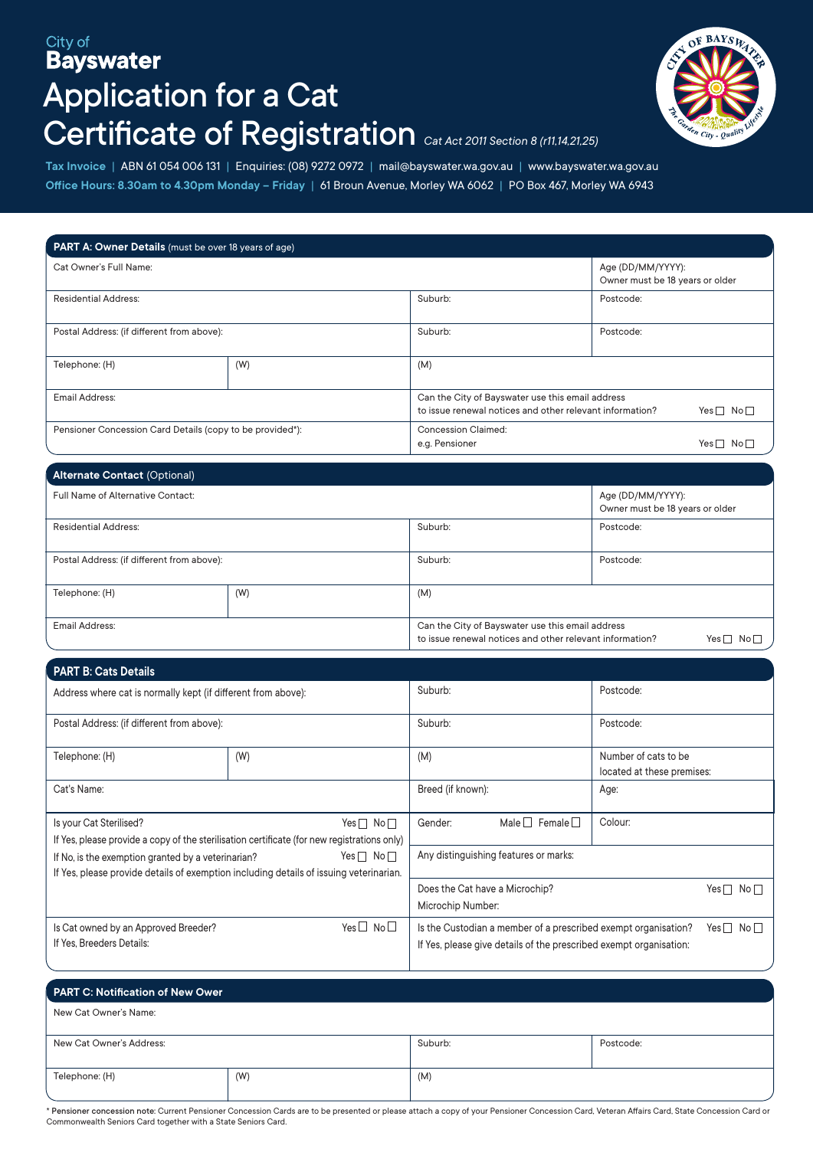## City of **Bayswater** Application for a Cat Certificate of Registration *Cat Act 2011 Section 8 (r11,14,21,25)*



**Tax Invoice** | ABN 61 054 006 131 | Enquiries: (08) 9272 0972 | mail@bayswater.wa.gov.au | www.bayswater.wa.gov.au **Office Hours: 8.30am to 4.30pm Monday – Friday** | 61 Broun Avenue, Morley WA 6062 | PO Box 467, Morley WA 6943

| <b>PART A: Owner Details</b> (must be over 18 years of age) |     |                                                                                                                                      |                                                      |  |  |
|-------------------------------------------------------------|-----|--------------------------------------------------------------------------------------------------------------------------------------|------------------------------------------------------|--|--|
| Cat Owner's Full Name:                                      |     |                                                                                                                                      | Age (DD/MM/YYYY):<br>Owner must be 18 years or older |  |  |
| <b>Residential Address:</b>                                 |     | Suburb:                                                                                                                              | Postcode:                                            |  |  |
| Postal Address: (if different from above):                  |     | Suburb:                                                                                                                              | Postcode:                                            |  |  |
| Telephone: (H)                                              | (W) | (M)                                                                                                                                  |                                                      |  |  |
| Email Address:                                              |     | Can the City of Bayswater use this email address<br>to issue renewal notices and other relevant information?<br>Yes $\Box$ No $\Box$ |                                                      |  |  |
| Pensioner Concession Card Details (copy to be provided*):   |     | <b>Concession Claimed:</b><br>e.g. Pensioner                                                                                         | Yes $\Box$<br>-No l                                  |  |  |

| <b>Alternate Contact (Optional)</b>        |  |                                                                                                                                                   |                                                      |  |  |
|--------------------------------------------|--|---------------------------------------------------------------------------------------------------------------------------------------------------|------------------------------------------------------|--|--|
| Full Name of Alternative Contact:          |  |                                                                                                                                                   | Age (DD/MM/YYYY):<br>Owner must be 18 years or older |  |  |
| <b>Residential Address:</b>                |  | Suburb:                                                                                                                                           | Postcode:                                            |  |  |
| Postal Address: (if different from above): |  | Suburb:                                                                                                                                           | Postcode:                                            |  |  |
| Telephone: (H)<br>(W)                      |  | (M)                                                                                                                                               |                                                      |  |  |
| <b>Email Address:</b>                      |  | Can the City of Bayswater use this email address<br>to issue renewal notices and other relevant information?<br>Yes $\Box$<br>$\mathsf{No}\,\Box$ |                                                      |  |  |

| <b>PART B: Cats Details</b>                                                                                                                  |                                                                 |                                                                                                                                                                  |         |           |                            |
|----------------------------------------------------------------------------------------------------------------------------------------------|-----------------------------------------------------------------|------------------------------------------------------------------------------------------------------------------------------------------------------------------|---------|-----------|----------------------------|
| Address where cat is normally kept (if different from above):                                                                                |                                                                 | Suburb:                                                                                                                                                          |         | Postcode: |                            |
| Postal Address: (if different from above):                                                                                                   |                                                                 | Suburb:                                                                                                                                                          |         | Postcode: |                            |
| Telephone: (H)                                                                                                                               | (W)                                                             |                                                                                                                                                                  | (M)     |           | located at these premises: |
| Cat's Name:                                                                                                                                  | Breed (if known):                                               |                                                                                                                                                                  | Age:    |           |                            |
| Is your Cat Sterilised?<br>If Yes, please provide a copy of the sterilisation certificate (for new registrations only)                       | Gender:                                                         | Male $\Box$ Female $\Box$                                                                                                                                        | Colour: |           |                            |
| If No, is the exemption granted by a veterinarian?<br>If Yes, please provide details of exemption including details of issuing veterinarian. | Any distinguishing features or marks:                           |                                                                                                                                                                  |         |           |                            |
|                                                                                                                                              | Does the Cat have a Microchip?<br>Yes∩ No∩<br>Microchip Number: |                                                                                                                                                                  |         |           |                            |
| Yes $\Box$ No $\Box$<br>Is Cat owned by an Approved Breeder?<br>If Yes. Breeders Details:                                                    |                                                                 | Is the Custodian a member of a prescribed exempt organisation?<br>Yes $\sqcap$ No $\sqcap$<br>If Yes, please give details of the prescribed exempt organisation: |         |           |                            |

| PART C: Notification of New Ower |     |         |           |  |
|----------------------------------|-----|---------|-----------|--|
| New Cat Owner's Name:            |     |         |           |  |
| New Cat Owner's Address:         |     | Suburb: | Postcode: |  |
| Telephone: (H)                   | (W) | (M)     |           |  |

\* Pensioner concession note: Current Pensioner Concession Cards are to be presented or please attach a copy of your Pensioner Concession Card, Veteran Affairs Card, State Concession Card or Commonwealth Seniors Card together with a State Seniors Card.